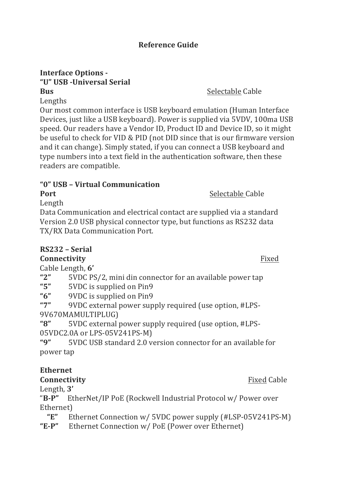# **Reference Guide**

#### **Interface Options -"U" USB -Universal Serial Bus** Selectable Cable

Lengths

Our most common interface is USB keyboard emulation (Human Interface Devices, just like a USB keyboard). Power is supplied via 5VDV, 100ma USB speed. Our readers have a Vendor ID, Product ID and Device ID, so it might be useful to check for VID & PID (not DID since that is our firmware version and it can change). Simply stated, if you can connect a USB keyboard and type numbers into a text field in the authentication software, then these readers are compatible.

### **"0" USB – Virtual Communication**

**Port** Selectable Cable

Length

Data Communication and electrical contact are supplied via a standard Version 2.0 USB physical connector type, but functions as RS232 data TX/RX Data Communication Port.

# **RS232 – Serial**

# **Connectivity** Fixed

Cable Length, **6'**

- "2" 5VDC PS/2, mini din connector for an available power tap
- "5" 5VDC is supplied on Pin9
- "6" 9VDC is supplied on Pin9"

"7" 9VDC external power supply required (use option, #LPS-9V670MAMULTIPLUG)

"8" 5VDC external power supply required (use option, #LPS-05VDC2.0A or LPS-05V241PS-M)

"9" 5VDC USB standard 2.0 version connector for an available for power tap

# **Ethernet**

# **Connectivity** Fixed Cable

Length, 3'

"B-P" EtherNet/IP PoE (Rockwell Industrial Protocol w/ Power over Ethernet)

**"E"** Ethernet Connection w/ 5VDC power supply (#LSP-05V241PS-M) "E-P" Ethernet Connection w/ PoE (Power over Ethernet)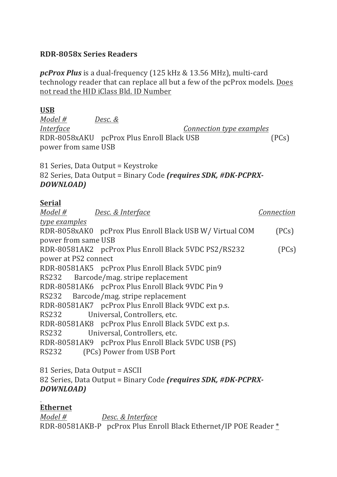#### **RDR-8058x Series Readers**

*pcProx Plus* is a dual-frequency (125 kHz & 13.56 MHz), multi-card technology reader that can replace all but a few of the pcProx models. Does not read the HID iClass Bld. ID Number

### **USB**

*Model # Desc. &* 

*Interface Connection type examples* RDR-8058xAKU pcProx Plus Enroll Black USB (PCs) power from same USB

81 Series, Data Output = Keystroke 82 Series, Data Output = Binary Code *(requires SDK, #DK-PCPRX-DOWNLOAD)*

# **Serial**

| Model #                               | Desc. & Interface                                        | Connection |  |  |
|---------------------------------------|----------------------------------------------------------|------------|--|--|
| type examples                         |                                                          |            |  |  |
|                                       | RDR-8058xAK0 pcProx Plus Enroll Black USB W/ Virtual COM | (PCs)      |  |  |
| power from same USB                   |                                                          |            |  |  |
|                                       | RDR-80581AK2 pcProx Plus Enroll Black 5VDC PS2/RS232     | (PCs)      |  |  |
| power at PS2 connect                  |                                                          |            |  |  |
|                                       | RDR-80581AK5 pcProx Plus Enroll Black 5VDC pin9          |            |  |  |
| RS232 Barcode/mag. stripe replacement |                                                          |            |  |  |
|                                       | RDR-80581AK6 pcProx Plus Enroll Black 9VDC Pin 9         |            |  |  |
| RS232 Barcode/mag. stripe replacement |                                                          |            |  |  |
|                                       | RDR-80581AK7 pcProx Plus Enroll Black 9VDC ext p.s.      |            |  |  |
| RS232<br>Universal, Controllers, etc. |                                                          |            |  |  |
|                                       | RDR-80581AK8 pcProx Plus Enroll Black 5VDC ext p.s.      |            |  |  |
| RS232                                 | Universal, Controllers, etc.                             |            |  |  |
|                                       | RDR-80581AK9 pcProx Plus Enroll Black 5VDC USB (PS)      |            |  |  |
| RS232                                 | (PCs) Power from USB Port                                |            |  |  |
|                                       |                                                          |            |  |  |

81 Series, Data Output = ASCII 82 Series, Data Output = Binary Code *(requires SDK, #DK-PCPRX-DOWNLOAD)*

# **Ethernet**

*Model # Desc. & Interface* RDR-80581AKB-P pcProx Plus Enroll Black Ethernet/IP POE Reader \*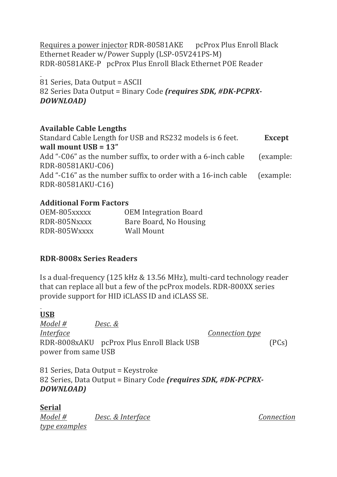Requires a power injector RDR-80581AKE pcProx Plus Enroll Black Ethernet Reader w/Power Supply (LSP-05V241PS-M) RDR-80581AKE-P pcProx Plus Enroll Black Ethernet POE Reader

81 Series, Data Output = ASCII 82 Series Data Output = Binary Code *(requires SDK, #DK-PCPRX-DOWNLOAD)*

#### **Available Cable Lengths**

Standard Cable Length for USB and RS232 models is 6 feet. **Except wall mount USB = 13"** Add "- $C06$ " as the number suffix, to order with a 6-inch cable (example: RDR-80581AKU-C06) Add "-C16" as the number suffix to order with a 16-inch cable (example: RDR-80581AKU-C16)

#### **Additional Form Factors**

| OEM-805xxxxx | <b>OEM Integration Board</b> |
|--------------|------------------------------|
| RDR-805Nxxxx | Bare Board, No Housing       |
| RDR-805Wxxxx | Wall Mount                   |

# **RDR-8008x Series Readers**

Is a dual-frequency (125 kHz & 13.56 MHz), multi-card technology reader that can replace all but a few of the pcProx models. RDR-800XX series provide support for HID iCLASS ID and iCLASS SE.

#### **USB**

*Model* # *Desc.* & *Interface Connection type* RDR-8008xAKU pcProx Plus Enroll Black USB (PCs) power from same USB

81 Series, Data Output = Keystroke 82 Series, Data Output = Binary Code *(requires SDK, #DK-PCPRX-DOWNLOAD)*

#### **Serial**

*Model* # *Desc. & Interface Connection type examples*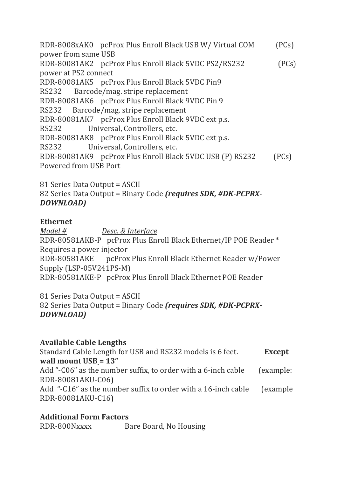RDR-8008xAK0 pcProx Plus Enroll Black USB W/ Virtual COM (PCs) power from same USB RDR-80081AK2 pcProx Plus Enroll Black 5VDC PS2/RS232 (PCs) power at PS2 connect RDR-80081AK5 pcProx Plus Enroll Black 5VDC Pin9 RS232 Barcode/mag. stripe replacement RDR-80081AK6 pcProx Plus Enroll Black 9VDC Pin 9 RS232 Barcode/mag. stripe replacement RDR-80081AK7 pcProx Plus Enroll Black 9VDC ext p.s. RS232 Universal, Controllers, etc. RDR-80081AK8 pcProx Plus Enroll Black 5VDC ext p.s. RS232 Universal, Controllers, etc. RDR-80081AK9 pcProx Plus Enroll Black 5VDC USB (P) RS232 (PCs) Powered from USB Port

81 Series Data Output = ASCII 82 Series Data Output = Binary Code *(requires SDK, #DK-PCPRX-DOWNLOAD)*

#### **Ethernet**

*Model # Desc. & Interface* RDR-80581AKB-P pcProx Plus Enroll Black Ethernet/IP POE Reader \* Requires a power injector RDR-80581AKE pcProx Plus Enroll Black Ethernet Reader w/Power Supply (LSP-05V241PS-M) RDR-80581AKE-P pcProx Plus Enroll Black Ethernet POE Reader

81 Series Data Output = ASCII 82 Series Data Output = Binary Code *(requires SDK, #DK-PCPRX-DOWNLOAD)*

#### **Available Cable Lengths**

Standard Cable Length for USB and RS232 models is 6 feet. **Except wall mount USB = 13"** Add "- $C06$ " as the number suffix, to order with a 6-inch cable (example: RDR-80081AKU-C06) Add "-C16" as the number suffix to order with a 16-inch cable (example RDR-80081AKU-C16)

#### **Additional Form Factors**

RDR-800Nxxxx Bare Board, No Housing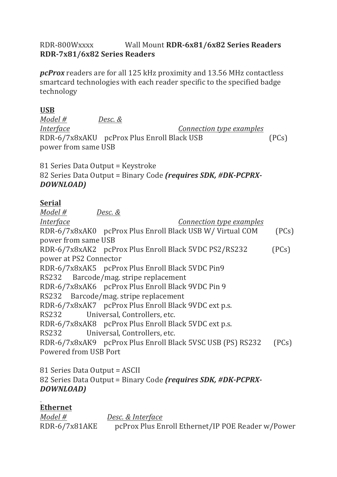### RDR-800Wxxxx Wall Mount **RDR-6x81/6x82 Series Readers RDR-7x81/6x82 Series Readers**

*pcProx* readers are for all 125 kHz proximity and 13.56 MHz contactless smartcard technologies with each reader specific to the specified badge technology

#### **USB**

*Model # Desc. &* 

*Interface Connection type examples* RDR-6/7x8xAKU pcProx Plus Enroll Black USB (PCs) power from same USB

81 Series Data Output = Keystroke 82 Series Data Output = Binary Code *(requires SDK, #DK-PCPRX-DOWNLOAD)*

### **Serial**

*Model # Desc. & Interface Connection type examples* RDR-6/7x8xAK0 pcProx Plus Enroll Black USB W/ Virtual COM (PCs) power from same USB RDR-6/7x8xAK2 pcProx Plus Enroll Black 5VDC PS2/RS232 (PCs) power at PS2 Connector RDR-6/7x8xAK5 pcProx Plus Enroll Black 5VDC Pin9 RS232 Barcode/mag. stripe replacement RDR-6/7x8xAK6 pcProx Plus Enroll Black 9VDC Pin 9 RS232 Barcode/mag. stripe replacement RDR-6/7x8xAK7 pcProx Plus Enroll Black 9VDC ext p.s. RS232 Universal, Controllers, etc. RDR-6/7x8xAK8 pcProx Plus Enroll Black 5VDC ext p.s. RS232 Universal, Controllers, etc. RDR-6/7x8xAK9 pcProx Plus Enroll Black 5VSC USB (PS) RS232 (PCs) Powered from USB Port

81 Series Data Output = ASCII 82 Series Data Output = Binary Code *(requires SDK, #DK-PCPRX-DOWNLOAD)*

# **Ethernet**

*Model # Desc. & Interface* RDR-6/7x81AKE pcProx Plus Enroll Ethernet/IP POE Reader w/Power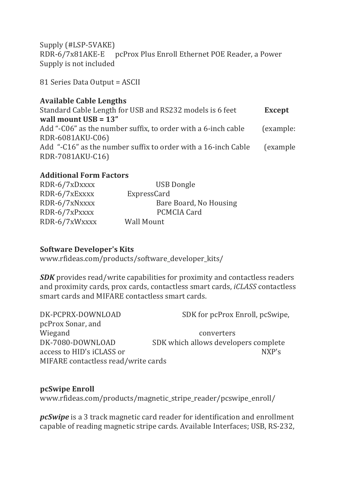Supply (#LSP-5VAKE) RDR-6/7x81AKE-E pcProx Plus Enroll Ethernet POE Reader, a Power Supply is not included

81 Series Data Output = ASCII

### **Available Cable Lengths**

Standard Cable Length for USB and RS232 models is 6 feet **Except wall mount USB = 13"** Add "- $C06$ " as the number suffix, to order with a  $6$ -inch cable (example: RDR-6081AKU-C06) Add "-C16" as the number suffix to order with a 16-inch Cable (example RDR-7081AKU-C16)

# **Additional Form Factors**

| RDR-6/7xDxxxx | <b>USB Dongle</b>      |
|---------------|------------------------|
| RDR-6/7xExxxx | ExpressCard            |
| RDR-6/7xNxxxx | Bare Board, No Housing |
| RDR-6/7xPxxxx | <b>PCMCIA Card</b>     |
| RDR-6/7xWxxxx | <b>Wall Mount</b>      |

#### **Software Developer's Kits**

www.rfideas.com/products/software\_developer\_kits/

*SDK* provides read/write capabilities for proximity and contactless readers and proximity cards, prox cards, contactless smart cards, *iCLASS* contactless smart cards and MIFARE contactless smart cards.

| DK-PCPRX-DOWNLOAD                   | SDK for pcProx Enroll, pcSwipe,      |
|-------------------------------------|--------------------------------------|
| pcProx Sonar, and                   |                                      |
| Wiegand                             | converters                           |
| DK-7080-DOWNLOAD                    | SDK which allows developers complete |
| access to HID's iCLASS or           | NXP's                                |
| MIFARE contactless read/write cards |                                      |

#### **pcSwipe Enroll** www.rfideas.com/products/magnetic\_stripe\_reader/pcswipe\_enroll/

*pcSwipe* is a 3 track magnetic card reader for identification and enrollment capable of reading magnetic stripe cards. Available Interfaces; USB, RS-232,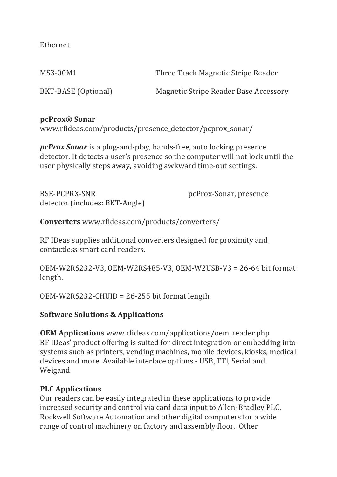Ethernet

MS3-00M1 Three Track Magnetic Stripe Reader

BKT-BASE (Optional) Magnetic Stripe Reader Base Accessory

### **pcProx® Sonar**

www.rfideas.com/products/presence\_detector/pcprox\_sonar/

*pcProx Sonar* is a plug-and-play, hands-free, auto locking presence detector. It detects a user's presence so the computer will not lock until the user physically steps away, avoiding awkward time-out settings.

BSE-PCPRX-SNR pcProx-Sonar, presence detector (includes: BKT-Angle)

**Converters** www.rfideas.com/products/converters/

RF IDeas supplies additional converters designed for proximity and contactless smart card readers.

 $OEM-W2RS232-V3,  $OEM-W2RS485-V3,  $OEM-W2USB-V3 = 26-64$  bit format$$ length.

 $OEM-W2RS232-CHUID = 26-255 bit format length.$ 

# **Software Solutions & Applications**

**OEM Applications** www.rfideas.com/applications/oem\_reader.php RF IDeas' product offering is suited for direct integration or embedding into systems such as printers, vending machines, mobile devices, kiosks, medical devices and more. Available interface options - USB, TTl, Serial and Weigand

# **PLC Applications**

Our readers can be easily integrated in these applications to provide increased security and control via card data input to Allen-Bradley PLC, Rockwell Software Automation and other digital computers for a wide range of control machinery on factory and assembly floor. Other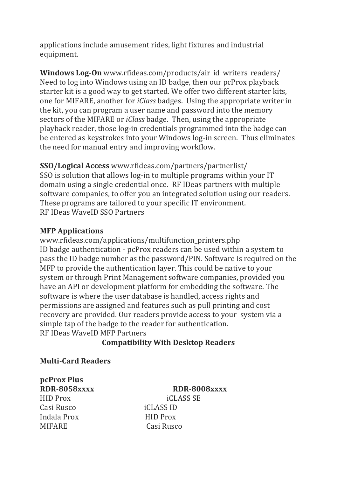applications include amusement rides, light fixtures and industrial equipment.

**Windows Log-On** www.rfideas.com/products/air\_id\_writers\_readers/ Need to log into Windows using an ID badge, then our pcProx playback starter kit is a good way to get started. We offer two different starter kits, one for MIFARE, another for *iClass* badges. Using the appropriate writer in the kit, you can program a user name and password into the memory sectors of the MIFARE or *iClass* badge. Then, using the appropriate playback reader, those log-in credentials programmed into the badge can be entered as keystrokes into your Windows log-in screen. Thus eliminates the need for manual entry and improving workflow.

# **SSO/Logical Access** www.rfideas.com/partners/partnerlist/

SSO is solution that allows log-in to multiple programs within your IT domain using a single credential once. RF IDeas partners with multiple software companies, to offer you an integrated solution using our readers. These programs are tailored to your specific IT environment. RF IDeas WaveID SSO Partners

### **MFP Applications**

www.rfideas.com/applications/multifunction\_printers.php ID badge authentication - pcProx readers can be used within a system to pass the ID badge number as the password/PIN. Software is required on the MFP to provide the authentication layer. This could be native to your system or through Print Management software companies, provided you have an API or development platform for embedding the software. The software is where the user database is handled, access rights and permissions are assigned and features such as pull printing and cost recovery are provided. Our readers provide access to your system via a simple tap of the badge to the reader for authentication. RF IDeas WaveID MFP Partners

# **Compatibility With Desktop Readers**

#### **Multi-Card Readers**

**pcProx Plus** HID Prox iCLASS SE Casi Rusco iCLASS ID Indala Prox **HID** Prox

**RDR-8058xxxx RDR-8008xxxx** MIFARE Casi Rusco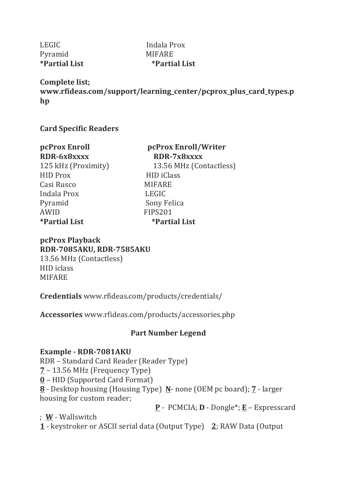LEGIC Indala Prox Pyramid MIFARE

**\*Partial List \*Partial List**

**Complete list; www.rfideas.com/support/learning\_center/pcprox\_plus\_card\_types.p hp**

**Card Specific Readers**

| pcProx Enroll               |  |  |  |  |
|-----------------------------|--|--|--|--|
| RDR-6x8xxxx                 |  |  |  |  |
| 125 kHz (Proximity)         |  |  |  |  |
| <b>HID Prox</b>             |  |  |  |  |
| Casi Rusco                  |  |  |  |  |
| Indala Prox                 |  |  |  |  |
| Pyramid                     |  |  |  |  |
| AWID                        |  |  |  |  |
| <i><b>*Partial List</b></i> |  |  |  |  |

**pcProx Enroll pcProx Enroll/Writer RDR-6x8xxxx RDR-7x8xxxx** 13.56 MHz (Contactless) HID iClass **MIFARE LEGIC** Sony Felica FIPS201 **\*Partial List \*Partial List**

**pcProx Playback RDR-7085AKU, RDR-7585AKU** 13.56 MHz (Contactless) HID iclass MIFARE

**Credentials** www.rfideas.com/products/credentials/

**Accessories** www.rfideas.com/products/accessories.php

# **Part Number Legend**

#### **Example - RDR-7081AKU**

RDR - Standard Card Reader (Reader Type)  $7 - 13.56$  MHz (Frequency Type) **0** – HID (Supported Card Format) **8** - Desktop housing (Housing Type) **N**- none (OEM pc board); **7** - larger housing for custom reader;

**P** - PCMCIA; **D** - Dongle\*; **E** – Expresscard 

; **W** - Wallswitch

**1** - keystroker or ASCII serial data (Output Type) **2**; RAW Data (Output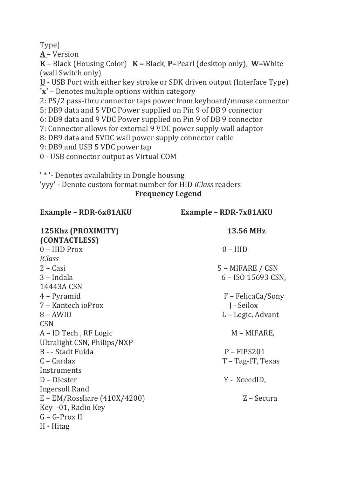Type)

**A** – Version

 $K - Black$  (Housing Color)  $K = Black$ , **P**=Pearl (desktop only),  $W = White$ (wall Switch only)

**U** - USB Port with either key stroke or SDK driven output (Interface Type) **'x'** – Denotes multiple options within category

2: PS/2 pass-thru connector taps power from keyboard/mouse connector

5: DB9 data and 5 VDC Power supplied on Pin 9 of DB 9 connector

6: DB9 data and 9 VDC Power supplied on Pin 9 of DB 9 connector

7: Connector allows for external 9 VDC power supply wall adaptor

8: DB9 data and 5VDC wall power supply connector cable

9: DB9 and USB 5 VDC power tap

0 - USB connector output as Virtual COM

**'\*'-** Denotes availability in Dongle housing

'vyy' - Denote custom format number for HID *iClass* readers **Frequency Legend**

| Example - RDR-6x81AKU           | Example - RDR-7x81AKU |  |
|---------------------------------|-----------------------|--|
| 125Khz (PROXIMITY)              | <b>13.56 MHz</b>      |  |
| (CONTACTLESS)                   |                       |  |
| $0 - HID$ Prox                  | $0 - HID$             |  |
| iClass                          |                       |  |
| $2 - Casi$                      | 5 - MIFARE / CSN      |  |
| 3 – Indala                      | 6 – ISO 15693 CSN,    |  |
| 14443A CSN                      |                       |  |
| 4 – Pyramid                     | F – FelicaCa/Sony     |  |
| 7 - Kantech ioProx              | J - Seilox            |  |
| $8 - AWID$                      | L – Legic, Advant     |  |
| <b>CSN</b>                      |                       |  |
| A – ID Tech, RF Logic           | M – MIFARE,           |  |
| Ultralight CSN, Philips/NXP     |                       |  |
| B - - Stadt Fulda               | $P - FIPS201$         |  |
| C – Cardax                      | T – Tag-IT, Texas     |  |
| Instruments                     |                       |  |
| D - Diester                     | Y - XceedID,          |  |
| <b>Ingersoll Rand</b>           |                       |  |
| $E - EM/R$ ossliare (410X/4200) | Z – Secura            |  |
| Key -01, Radio Key              |                       |  |
| G - G-Prox II                   |                       |  |
| H - Hitag                       |                       |  |
|                                 |                       |  |